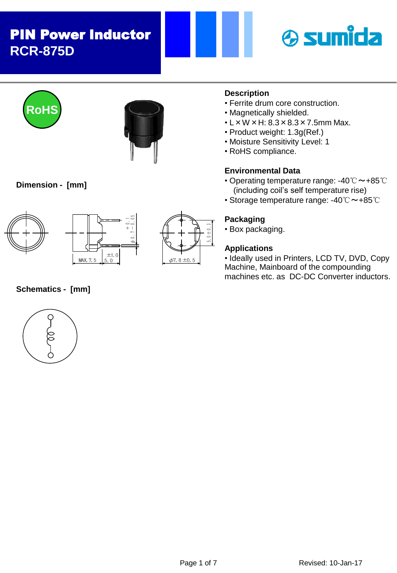





 $\phi$  0.7 - 0.05

### **Dimension - [mm]**





# <sup>±</sup>1.0 <sup>φ</sup>7.8±0.5 5.0±0.3

## **Description**

- Ferrite drum core construction.
- Magnetically shielded.
- $\cdot$  L  $\times$  W  $\times$  H: 8.3  $\times$  8.3  $\times$  7.5mm Max.
- Product weight: 1.3g(Ref.)
- Moisture Sensitivity Level: 1
- RoHS compliance.

### **Environmental Data**

- Operating temperature range: -40℃~+85℃ (including coil's self temperature rise)
- Storage temperature range: -40℃~+85℃

### **Packaging**

• Box packaging.

### **Applications**

• Ideally used in Printers, LCD TV, DVD, Copy Machine, Mainboard of the compounding machines etc. as DC-DC Converter inductors.



**Schematics - [mm]**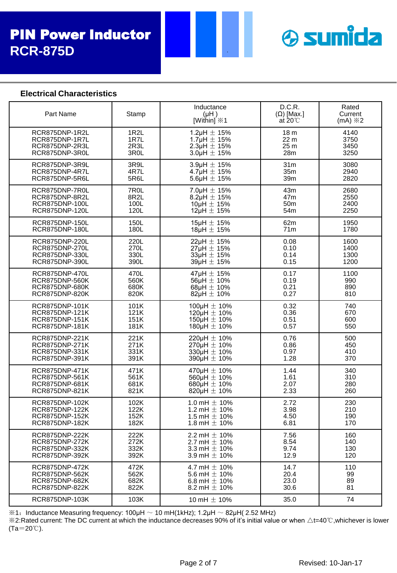

### **Electrical Characteristics**

| Part Name             | Stamp             | Inductance<br>(HH)<br>[Within] $\divideontimes$ 1 | D.C.R.<br>$(\Omega)$ [Max.]<br>at $20^{\circ}$ | Rated<br>Current<br>$(mA) \times 2$ |
|-----------------------|-------------------|---------------------------------------------------|------------------------------------------------|-------------------------------------|
| RCR875DNP-1R2L        | 1R <sub>2</sub> L | 1.2 $\mu$ H $\pm$ 15%                             | 18 <sub>m</sub>                                | 4140                                |
| RCR875DNP-1R7L        | 1R7L              | 1.7µH $\pm$ 15%                                   | 22 <sub>m</sub>                                | 3750                                |
| RCR875DNP-2R3L        | 2R3L              | 2.3µH $\pm$ 15%                                   | 25 <sub>m</sub>                                | 3450                                |
| RCR875DNP-3R0L        | 3R <sub>0</sub> L | $3.0$ µH $\pm$ 15%                                | 28m                                            | 3250                                |
| RCR875DNP-3R9L        | 3R9L              | 3.9µH $\pm$ 15%                                   | 31 <sub>m</sub>                                | 3080                                |
| RCR875DNP-4R7L        | 4R7L              | 4.7µH $\pm$ 15%                                   | 35m                                            | 2940                                |
| RCR875DNP-5R6L        | 5R6L              | $5.6\mu H \pm 15\%$                               | 39m                                            | 2820                                |
| RCR875DNP-7R0L        | 7R <sub>0</sub> L | 7.0 $\mu$ H $\pm$ 15%                             | 43m                                            | 2680                                |
| RCR875DNP-8R2L        | 8R <sub>2</sub> L | $8.2\mu H \pm 15\%$                               | 47m                                            | 2550                                |
| RCR875DNP-100L        | 100L              | $10\mu H \pm 15\%$                                | 50 <sub>m</sub>                                | 2400                                |
| RCR875DNP-120L        | 120L              | $12\mu H \pm 15\%$                                | 54m                                            | 2250                                |
| RCR875DNP-150L        | 150L              | $15\mu H \pm 15\%$                                | 62m                                            | 1950                                |
| RCR875DNP-180L        | 180L              | $18\mu H \pm 15\%$                                | 71m                                            | 1780                                |
| RCR875DNP-220L        | 220L              | $22\mu H \pm 15\%$                                | 0.08                                           | 1600                                |
| RCR875DNP-270L        | 270L              | $27\mu H \pm 15\%$                                | 0.10                                           | 1400                                |
| RCR875DNP-330L        | 330L              | $33\mu H \pm 15\%$                                | 0.14                                           | 1300                                |
| RCR875DNP-390L        | 390L              | $39\mu H \pm 15\%$                                | 0.15                                           | 1200                                |
| RCR875DNP-470L        | 470L              | 47µH ± 15%                                        | 0.17                                           | 1100                                |
| RCR875DNP-560K        | 560K              | 56µH $\pm$ 10%                                    | 0.19                                           | 990                                 |
| RCR875DNP-680K        | 680K              | 68µH $\pm$ 10%                                    | 0.21                                           | 890                                 |
| RCR875DNP-820K        | 820K              | 82µH $\pm$ 10%                                    | 0.27                                           | 810                                 |
| RCR875DNP-101K        | 101K              | 100µH $\pm$ 10%                                   | 0.32                                           | 740                                 |
| RCR875DNP-121K        | 121K              | 120µH $\pm$ 10%                                   | 0.36                                           | 670                                 |
| RCR875DNP-151K        | 151K              | 150µH $\pm$ 10%                                   | 0.51                                           | 600                                 |
| RCR875DNP-181K        | 181K              | 180µH $\pm$ 10%                                   | 0.57                                           | 550                                 |
| RCR875DNP-221K        | 221K              | 220µH $\pm$ 10%                                   | 0.76                                           | 500                                 |
| RCR875DNP-271K        | 271K              | 270µH $\pm$ 10%                                   | 0.86                                           | 450                                 |
| RCR875DNP-331K        | 331K              | 330µH $\pm$ 10%                                   | 0.97                                           | 410                                 |
| RCR875DNP-391K        | 391K              | 390µH $\pm$ 10%                                   | 1.28                                           | 370                                 |
| RCR875DNP-471K        | 471K              | 470µH $\pm$ 10%                                   | 1.44                                           | 340                                 |
| RCR875DNP-561K        | 561K              | $560\mu H \pm 10\%$                               | 1.61                                           | 310                                 |
| RCR875DNP-681K        | 681K              | 680µH $\pm$ 10%                                   | 2.07                                           | 280                                 |
| RCR875DNP-821K        | 821K              | 820µH $\pm$ 10%                                   | 2.33                                           | 260                                 |
| RCR875DNP-102K        | 102K              | 1.0 mH $\pm$ 10%                                  | 2.72                                           | 230                                 |
| RCR875DNP-122K        | 122K              | 1.2 mH $\pm$ 10%                                  | 3.98                                           | 210                                 |
| RCR875DNP-152K        | 152K              | 1.5 mH $\pm$ 10%                                  | 4.50                                           | 190                                 |
| RCR875DNP-182K        | 182K              | 1.8 mH $\pm$ 10%                                  | 6.81                                           | 170                                 |
| RCR875DNP-222K        | 222K              | 2.2 mH $\pm$ 10%                                  | 7.56                                           | 160                                 |
| RCR875DNP-272K        | 272K              | 2.7 mH $\pm$ 10%                                  | 8.54                                           | 140                                 |
| RCR875DNP-332K        | 332K              | 3.3 mH $\pm$ 10%                                  | 9.74                                           | 130                                 |
| RCR875DNP-392K        | 392K              | 3.9 mH $\pm$ 10%                                  | 12.9                                           | 120                                 |
| <b>RCR875DNP-472K</b> | 472K              | 4.7 mH $\pm$ 10%                                  | 14.7                                           | 110                                 |
| RCR875DNP-562K        | 562K              | 5.6 mH $\pm$ 10%                                  | 20.4                                           | 99                                  |
| RCR875DNP-682K        | 682K              | 6.8 mH $\pm$ 10%                                  | 23.0                                           | 89                                  |
| RCR875DNP-822K        | 822K              | 8.2 mH $\pm$ 10%                                  | 30.6                                           | 81                                  |
| RCR875DNP-103K        | 103K              | 10 mH $\pm$ 10%                                   | 35.0                                           | 74                                  |

 $\div$ 1: Inductance Measuring frequency: 100μH  $\sim$  10 mH(1kHz); 1.2μH  $\sim$  82μH( 2.52 MHz)

※2:Rated current: The DC current at which the inductance decreases 90% of it's initial value or when △t=40℃,whichever is lower (Ta=20℃).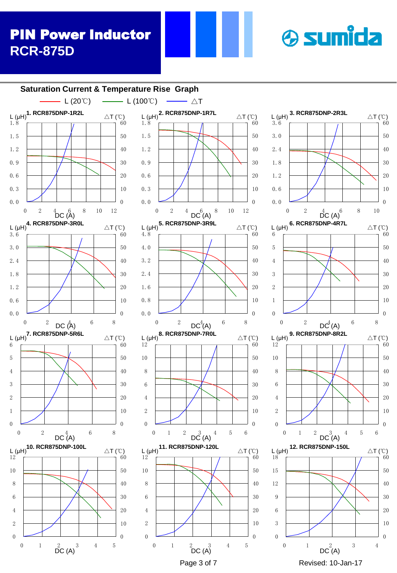# **& sumida**



 $\triangle$ T (℃)

 $\triangle T$  (°C)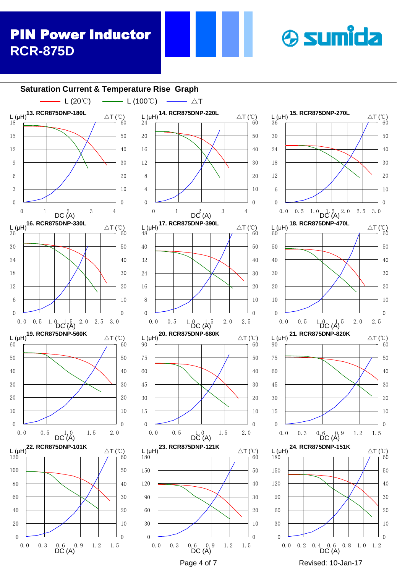# **& sumida**

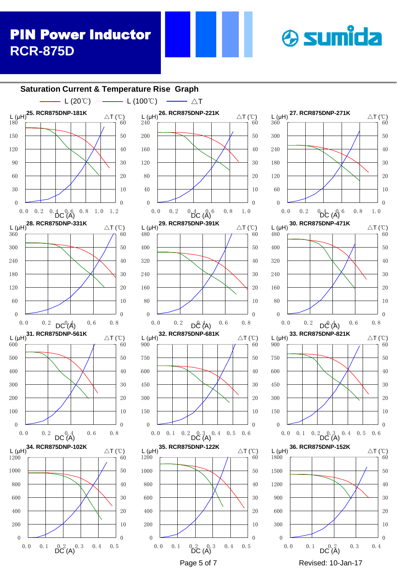#### $\begin{array}{ccccccccc}\n & 0.2 & 0.3 & 0.4 & 0.5 \\
 & 0.2 & 0.3 & 0.4 & 0.5 \\
 & \text{DC (A)} & & & & & \text{DC (A)} \\
\end{array}$ <br>
Page 5 of 7 Revised: 10-Jan-17  $\Omega$  0.0 0.1 0.2  $^{0.3}$  0.4 0.5<br>DC (A)  $\Omega$  0.0 0.1  $0.2$  (A) 0.3 0.4 0.5  $\theta$   $\theta$   $\theta$  0. 0 0. 1 0. 2  $D\ddot{C}(\text{A})$ <sup>0. 4</sup> 0. 5 0. 6  $\theta$  0. 0 0. 2  $DC(A)$  0. 6 0. 8  $\Omega$   $\Omega$   $L(\mu H)$ <br>480  $\Omega$   $L(\mu H)$ <br>480 0.0 0.2  $D^{\mathcal{A}}_{\mathcal{A}}(A)$  0.6 0.8  $\Omega$  0.0 0.2  $DC^0(\AA)$  0.6 0.8  $\Omega$   $L(\mu H)$ <br>360 0.0 0.2  $^{0.4}_{\text{DC}}$  ( $^{4}_{\text{A}}$ )<sup>6</sup> 0.8 1.0 0.0 0.2  $0.\frac{4}{\text{DC}}(A)$  0.8 1.0 1.2  $\Omega$  **Saturation Current & Temperature Rise Graph 25. RCR875DNP-181K** L (μH) △T (℃) **26. RCR875DNP-221K** L (μH) △T (℃) **27. RCR875DNP-271K** L (μH) **28. RCR875DNP-331K** △T (℃) **29. RCR875DNP-391K**  $\triangle T$  (℃) **31. RCR875DNP-561K**  $L(\mu H)$   $\triangle T(\degree C)$ **32. RCR875DNP-681K**  $L(\mu H)$   $\triangle T(\text{°C})$  $DC(A)$  do the theory of  $AC(A)$  do the contract  $DC(A)$ - L (20℃)  $\longrightarrow$  L (100℃)  $\longrightarrow$   $\triangle$ T **34. RCR875DNP-102K** L (μH) △T (℃) **35. RCR875DNP-122K**  $L (\mu H)$ <sup>35.</sup> Nonor SDM -122N  $\triangle T (\degree C)$

0.0 0.1  $DC(\overrightarrow{A})$  0.3 0.4  $\Omega$  0. 0 0. 1 0. 2  $D^{0.3}_{\text{D}}$  0. 4 0. 5 0. 6  $\Omega$  0.0 0.2  $D\mathcal{C}(\mathsf{A})$  0.6 0.8  $\Omega$  0.0 0.2  ${}^{0}\text{D}^{4}\text{C}$  (A)  ${}^{6}$  0.8 1.0 **30. RCR875DNP-471K**  $\triangle T$  (°C) **33. RCR875DNP-821K**  $L (\mu H)$ <sup>33.</sup> Nonor 3DNI - 02TN  $\triangle T (\degree C)$ **36. RCR875DNP-152K**  $L (\mu H)$ <sup>30.</sup> Nonor 3DM  $-132N$   $\Delta T (\text{C})$ 

**& sumida** 

 $\triangle T$  (°C)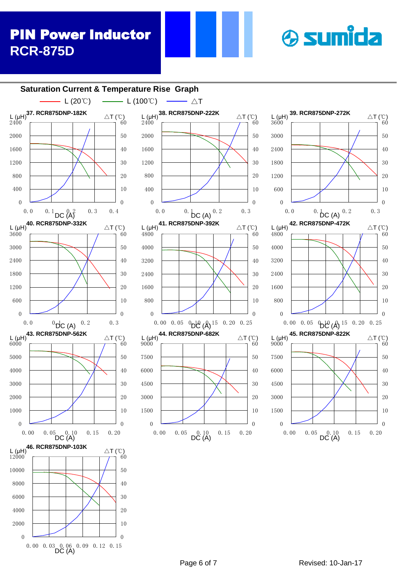0.00 0.03 0.06 0.09 0.12 0.15<br>DC (A)

#### $\Delta T$  (°C)<br>  $\rightarrow 60$  $\Omega$  0.00 0.05 0.10 0.15 0.20  $\theta$   $L(\mu H)$ <br>9000 0.00 0.05 0.10 0.15 0.20<br>DC (A)  $L(\mu H)$ <br>6000 0.00 0.05 0.10 0.15 0.20<br>DC (A)  $\Omega$   $\theta$   $L(\mu H)$ <br>4800 0.00 0.05  $\mathcal{D} \mathcal{C} (\mathcal{A})$  15 0.20 0.25  $\theta$   $L(\mu H)$ <br>4800 0.00 0.05  $^{0}D^{12}$  ( $\lambda$ )<sup>15</sup> 0.20 0.25  $\theta$   $\Omega$  0. 0  $^{0}$ DC (A)  $^{0.2}$  0. 3  $\Omega$   $L_{3600}^{L(HH)}$ 0.0 0.1 0.2 0.3  $L$ (μH) <sup>33</sup> - NONOTSBNI -272N<br>3600 - The Henry 60  $\theta$   $DC \begin{pmatrix} \mathsf{A}\mathsf{C} & 0.3 & 0.4 \\ 0.3 & 0.4 & 0.0 \end{pmatrix}$  0.0 0.0 0.0 0.0 0.0 0.0 0.0 0.0  $\overline{0}$   $\triangle T$  (°C)<br> $\overline{A}$  60  $\theta$  0.0 0.1  $DC \nvert A \rvert^2$  0.3 0.4  $\theta$  **Saturation Current & Temperature Rise Graph 37. RCR875DNP-182K** L (μH) △T (℃) **L** (μH)<sup>38.</sup> RCR875DNP-222K **39. RCR875DNP-272K**  $L(\mu H)$ **41. RCR875DNP-392K**  $\triangle T$  (℃) **42. RCR875DNP-472K 43. RCR875DNP-562K**  $\triangle T$  (°C) **44. RCR875DNP-682K**  $\triangle T$  (°C) **40. RCR875DNP-332K** △T (℃) **45. RCR875DNP-822K**  $L(\mu H)$ <sup>-3.</sup> Nonor 3D<sub>111</sub> - 322N  $\triangle T$  (°C) - L (20℃)  $\longrightarrow$  L (100℃)  $\longrightarrow$   $\triangle$ T **46. RCR875DNP-103K** L (μH) △T (℃)



 $\triangle T$  (°C)

**& sumida**